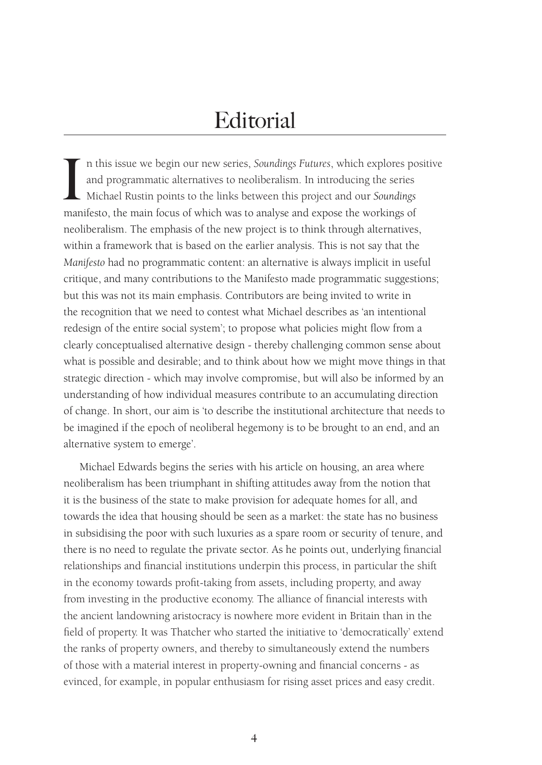# **Editorial**

In this issue we begin our new series, *Soundings Futures*, which explores po and programmatic alternatives to neoliberalism. In introducing the series Michael Rustin points to the links between this project and our *Sound* n this issue we begin our new series, *Soundings Futures*, which explores positive and programmatic alternatives to neoliberalism. In introducing the series Michael Rustin points to the links between this project and our *Soundings* neoliberalism. The emphasis of the new project is to think through alternatives, within a framework that is based on the earlier analysis. This is not say that the *Manifesto* had no programmatic content: an alternative is always implicit in useful critique, and many contributions to the Manifesto made programmatic suggestions; but this was not its main emphasis. Contributors are being invited to write in the recognition that we need to contest what Michael describes as 'an intentional redesign of the entire social system'; to propose what policies might flow from a clearly conceptualised alternative design - thereby challenging common sense about what is possible and desirable; and to think about how we might move things in that strategic direction - which may involve compromise, but will also be informed by an understanding of how individual measures contribute to an accumulating direction of change. In short, our aim is 'to describe the institutional architecture that needs to be imagined if the epoch of neoliberal hegemony is to be brought to an end, and an alternative system to emerge'.

Michael Edwards begins the series with his article on housing, an area where neoliberalism has been triumphant in shifting attitudes away from the notion that it is the business of the state to make provision for adequate homes for all, and towards the idea that housing should be seen as a market: the state has no business in subsidising the poor with such luxuries as a spare room or security of tenure, and there is no need to regulate the private sector. As he points out, underlying financial relationships and financial institutions underpin this process, in particular the shift in the economy towards profit-taking from assets, including property, and away from investing in the productive economy. The alliance of financial interests with the ancient landowning aristocracy is nowhere more evident in Britain than in the field of property. It was Thatcher who started the initiative to 'democratically' extend the ranks of property owners, and thereby to simultaneously extend the numbers of those with a material interest in property-owning and financial concerns - as evinced, for example, in popular enthusiasm for rising asset prices and easy credit.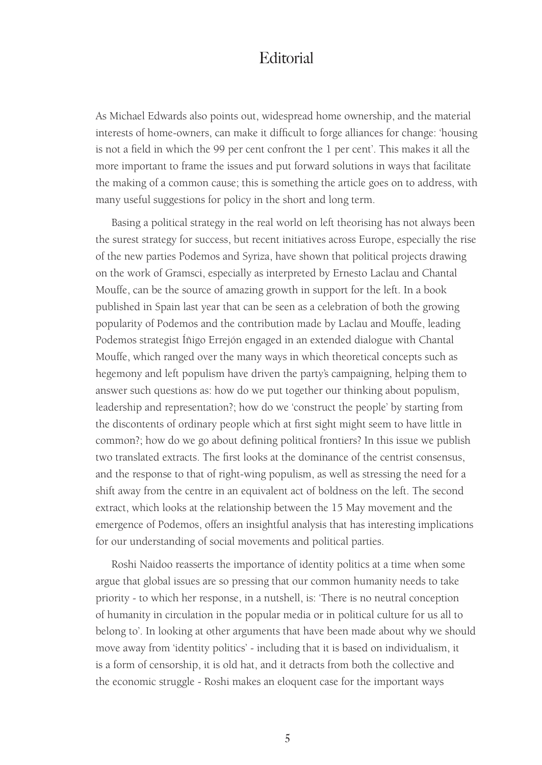### **Editorial**

As Michael Edwards also points out, widespread home ownership, and the material interests of home-owners, can make it difficult to forge alliances for change: 'housing is not a field in which the 99 per cent confront the 1 per cent'. This makes it all the more important to frame the issues and put forward solutions in ways that facilitate the making of a common cause; this is something the article goes on to address, with many useful suggestions for policy in the short and long term.

Basing a political strategy in the real world on left theorising has not always been the surest strategy for success, but recent initiatives across Europe, especially the rise of the new parties Podemos and Syriza, have shown that political projects drawing on the work of Gramsci, especially as interpreted by Ernesto Laclau and Chantal Mouffe, can be the source of amazing growth in support for the left. In a book published in Spain last year that can be seen as a celebration of both the growing popularity of Podemos and the contribution made by Laclau and Mouffe, leading Podemos strategist Íñigo Errejón engaged in an extended dialogue with Chantal Mouffe, which ranged over the many ways in which theoretical concepts such as hegemony and left populism have driven the party's campaigning, helping them to answer such questions as: how do we put together our thinking about populism, leadership and representation?; how do we 'construct the people' by starting from the discontents of ordinary people which at first sight might seem to have little in common?; how do we go about defining political frontiers? In this issue we publish two translated extracts. The first looks at the dominance of the centrist consensus, and the response to that of right-wing populism, as well as stressing the need for a shift away from the centre in an equivalent act of boldness on the left. The second extract, which looks at the relationship between the 15 May movement and the emergence of Podemos, offers an insightful analysis that has interesting implications for our understanding of social movements and political parties.

Roshi Naidoo reasserts the importance of identity politics at a time when some argue that global issues are so pressing that our common humanity needs to take priority - to which her response, in a nutshell, is: 'There is no neutral conception of humanity in circulation in the popular media or in political culture for us all to belong to'. In looking at other arguments that have been made about why we should move away from 'identity politics' - including that it is based on individualism, it is a form of censorship, it is old hat, and it detracts from both the collective and the economic struggle - Roshi makes an eloquent case for the important ways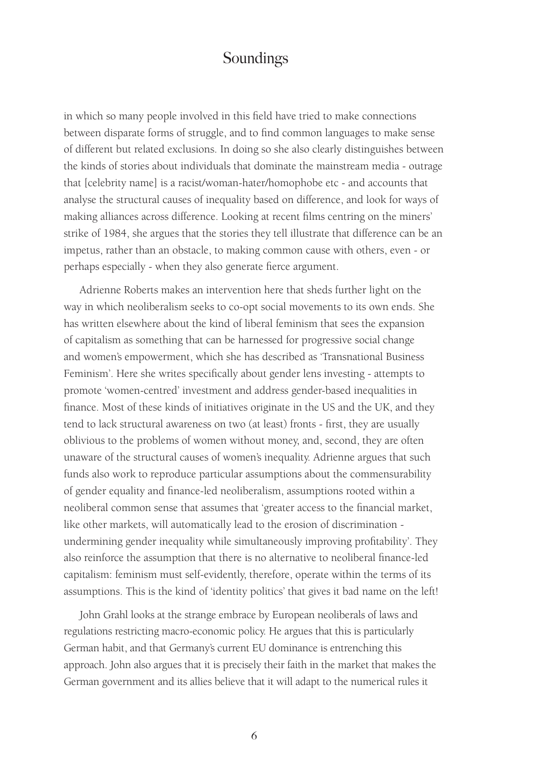# Soundings

in which so many people involved in this field have tried to make connections between disparate forms of struggle, and to find common languages to make sense of different but related exclusions. In doing so she also clearly distinguishes between the kinds of stories about individuals that dominate the mainstream media - outrage that [celebrity name] is a racist/woman-hater/homophobe etc - and accounts that analyse the structural causes of inequality based on difference, and look for ways of making alliances across difference. Looking at recent films centring on the miners' strike of 1984, she argues that the stories they tell illustrate that difference can be an impetus, rather than an obstacle, to making common cause with others, even - or perhaps especially - when they also generate fierce argument.

Adrienne Roberts makes an intervention here that sheds further light on the way in which neoliberalism seeks to co-opt social movements to its own ends. She has written elsewhere about the kind of liberal feminism that sees the expansion of capitalism as something that can be harnessed for progressive social change and women's empowerment, which she has described as 'Transnational Business Feminism'. Here she writes specifically about gender lens investing - attempts to promote 'women-centred' investment and address gender-based inequalities in finance. Most of these kinds of initiatives originate in the US and the UK, and they tend to lack structural awareness on two (at least) fronts - first, they are usually oblivious to the problems of women without money, and, second, they are often unaware of the structural causes of women's inequality. Adrienne argues that such funds also work to reproduce particular assumptions about the commensurability of gender equality and finance-led neoliberalism, assumptions rooted within a neoliberal common sense that assumes that 'greater access to the financial market, like other markets, will automatically lead to the erosion of discrimination undermining gender inequality while simultaneously improving profitability'. They also reinforce the assumption that there is no alternative to neoliberal finance-led capitalism: feminism must self-evidently, therefore, operate within the terms of its assumptions. This is the kind of 'identity politics' that gives it bad name on the left!

John Grahl looks at the strange embrace by European neoliberals of laws and regulations restricting macro-economic policy. He argues that this is particularly German habit, and that Germany's current EU dominance is entrenching this approach. John also argues that it is precisely their faith in the market that makes the German government and its allies believe that it will adapt to the numerical rules it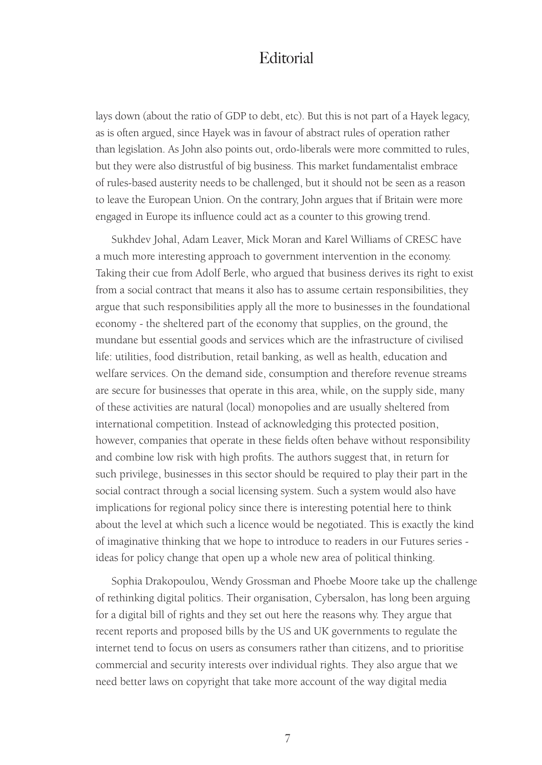### **Editorial**

lays down (about the ratio of GDP to debt, etc). But this is not part of a Hayek legacy, as is often argued, since Hayek was in favour of abstract rules of operation rather than legislation. As John also points out, ordo-liberals were more committed to rules, but they were also distrustful of big business. This market fundamentalist embrace of rules-based austerity needs to be challenged, but it should not be seen as a reason to leave the European Union. On the contrary, John argues that if Britain were more engaged in Europe its influence could act as a counter to this growing trend.

Sukhdev Johal, Adam Leaver, Mick Moran and Karel Williams of CRESC have a much more interesting approach to government intervention in the economy. Taking their cue from Adolf Berle, who argued that business derives its right to exist from a social contract that means it also has to assume certain responsibilities, they argue that such responsibilities apply all the more to businesses in the foundational economy - the sheltered part of the economy that supplies, on the ground, the mundane but essential goods and services which are the infrastructure of civilised life: utilities, food distribution, retail banking, as well as health, education and welfare services. On the demand side, consumption and therefore revenue streams are secure for businesses that operate in this area, while, on the supply side, many of these activities are natural (local) monopolies and are usually sheltered from international competition. Instead of acknowledging this protected position, however, companies that operate in these fields often behave without responsibility and combine low risk with high profits. The authors suggest that, in return for such privilege, businesses in this sector should be required to play their part in the social contract through a social licensing system. Such a system would also have implications for regional policy since there is interesting potential here to think about the level at which such a licence would be negotiated. This is exactly the kind of imaginative thinking that we hope to introduce to readers in our Futures series ideas for policy change that open up a whole new area of political thinking.

Sophia Drakopoulou, Wendy Grossman and Phoebe Moore take up the challenge of rethinking digital politics. Their organisation, Cybersalon, has long been arguing for a digital bill of rights and they set out here the reasons why. They argue that recent reports and proposed bills by the US and UK governments to regulate the internet tend to focus on users as consumers rather than citizens, and to prioritise commercial and security interests over individual rights. They also argue that we need better laws on copyright that take more account of the way digital media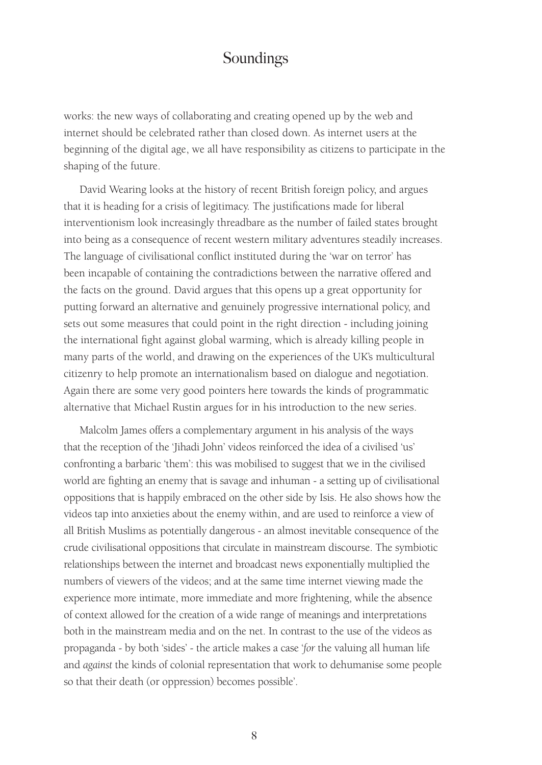# Soundings

works: the new ways of collaborating and creating opened up by the web and internet should be celebrated rather than closed down. As internet users at the beginning of the digital age, we all have responsibility as citizens to participate in the shaping of the future.

David Wearing looks at the history of recent British foreign policy, and argues that it is heading for a crisis of legitimacy. The justifications made for liberal interventionism look increasingly threadbare as the number of failed states brought into being as a consequence of recent western military adventures steadily increases. The language of civilisational conflict instituted during the 'war on terror' has been incapable of containing the contradictions between the narrative offered and the facts on the ground. David argues that this opens up a great opportunity for putting forward an alternative and genuinely progressive international policy, and sets out some measures that could point in the right direction - including joining the international fight against global warming, which is already killing people in many parts of the world, and drawing on the experiences of the UK's multicultural citizenry to help promote an internationalism based on dialogue and negotiation. Again there are some very good pointers here towards the kinds of programmatic alternative that Michael Rustin argues for in his introduction to the new series.

Malcolm James offers a complementary argument in his analysis of the ways that the reception of the 'Jihadi John' videos reinforced the idea of a civilised 'us' confronting a barbaric 'them': this was mobilised to suggest that we in the civilised world are fighting an enemy that is savage and inhuman - a setting up of civilisational oppositions that is happily embraced on the other side by Isis. He also shows how the videos tap into anxieties about the enemy within, and are used to reinforce a view of all British Muslims as potentially dangerous - an almost inevitable consequence of the crude civilisational oppositions that circulate in mainstream discourse. The symbiotic relationships between the internet and broadcast news exponentially multiplied the numbers of viewers of the videos; and at the same time internet viewing made the experience more intimate, more immediate and more frightening, while the absence of context allowed for the creation of a wide range of meanings and interpretations both in the mainstream media and on the net. In contrast to the use of the videos as propaganda - by both 'sides' - the article makes a case '*for* the valuing all human life and *against* the kinds of colonial representation that work to dehumanise some people so that their death (or oppression) becomes possible'.